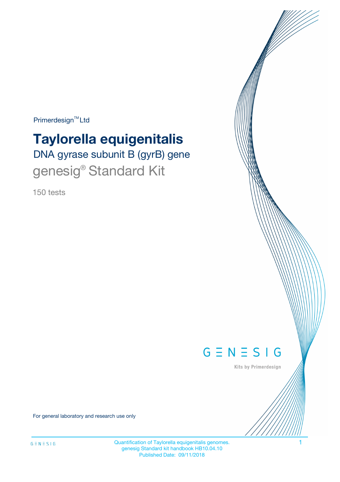$Primerdesign^{\text{TM}}Ltd$ 

# DNA gyrase subunit B (gyrB) gene **Taylorella equigenitalis**

genesig® Standard Kit

150 tests



Kits by Primerdesign

For general laboratory and research use only

Quantification of Taylorella equigenitalis genomes. 1 genesig Standard kit handbook HB10.04.10 Published Date: 09/11/2018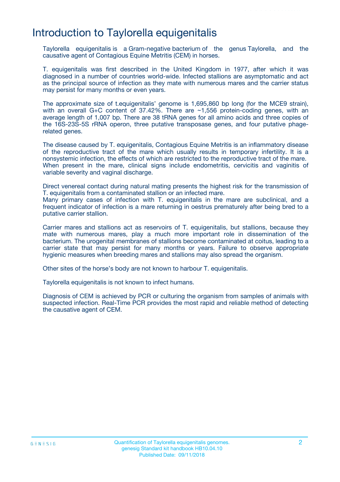## Introduction to Taylorella equigenitalis

Taylorella equigenitalis is a Gram-negative bacterium of the genus Taylorella, and the causative agent of Contagious Equine Metritis (CEM) in horses.

T. equigenitalis was first described in the United Kingdom in 1977, after which it was diagnosed in a number of countries world-wide. Infected stallions are asymptomatic and act as the principal source of infection as they mate with numerous mares and the carrier status may persist for many months or even years.

The approximate size of t.equigenitalis' genome is 1,695,860 bp long (for the MCE9 strain), with an overall G+C content of 37.42%. There are ~1,556 protein-coding genes, with an average length of 1,007 bp. There are 38 tRNA genes for all amino acids and three copies of the 16S-23S-5S rRNA operon, three putative transposase genes, and four putative phagerelated genes.

The disease caused by T. equigenitalis, Contagious Equine Metritis is an inflammatory disease of the reproductive tract of the mare which usually results in temporary infertility. It is a nonsystemic infection, the effects of which are restricted to the reproductive tract of the mare. When present in the mare, clinical signs include endometritis, cervicitis and vaginitis of variable severity and vaginal discharge.

Direct venereal contact during natural mating presents the highest risk for the transmission of T. equigenitalis from a contaminated stallion or an infected mare.

Many primary cases of infection with T. equigenitalis in the mare are subclinical, and a frequent indicator of infection is a mare returning in oestrus prematurely after being bred to a putative carrier stallion.

Carrier mares and stallions act as reservoirs of T. equigenitalis, but stallions, because they mate with numerous mares, play a much more important role in dissemination of the bacterium. The urogenital membranes of stallions become contaminated at coitus, leading to a carrier state that may persist for many months or years. Failure to observe appropriate hygienic measures when breeding mares and stallions may also spread the organism.

Other sites of the horse's body are not known to harbour T. equigenitalis.

Taylorella equigenitalis is not known to infect humans.

Diagnosis of CEM is achieved by PCR or culturing the organism from samples of animals with suspected infection. Real-Time PCR provides the most rapid and reliable method of detecting the causative agent of CEM.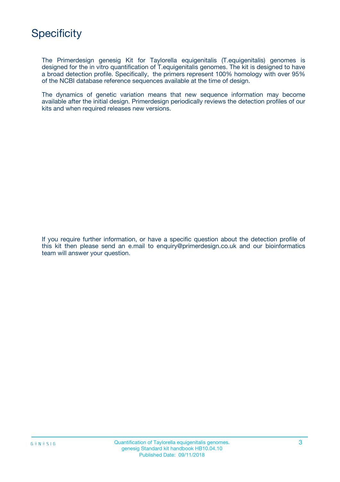The Primerdesign genesig Kit for Taylorella equigenitalis (T.equigenitalis) genomes is designed for the in vitro quantification of T.equigenitalis genomes. The kit is designed to have a broad detection profile. Specifically, the primers represent 100% homology with over 95% of the NCBI database reference sequences available at the time of design.

The dynamics of genetic variation means that new sequence information may become available after the initial design. Primerdesign periodically reviews the detection profiles of our kits and when required releases new versions.

If you require further information, or have a specific question about the detection profile of this kit then please send an e.mail to enquiry@primerdesign.co.uk and our bioinformatics team will answer your question.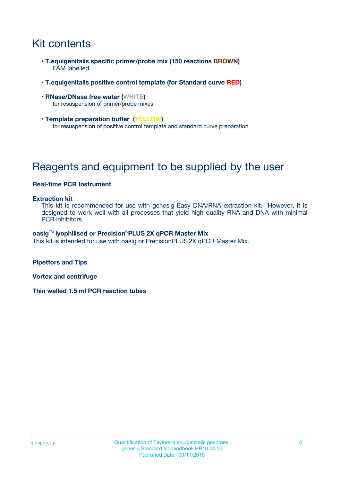## Kit contents

- **T.equigenitalis specific primer/probe mix (150 reactions BROWN)** FAM labelled
- **T.equigenitalis positive control template (for Standard curve RED)**
- **RNase/DNase free water (WHITE)** for resuspension of primer/probe mixes
- **Template preparation buffer (YELLOW)** for resuspension of positive control template and standard curve preparation

## Reagents and equipment to be supplied by the user

#### **Real-time PCR Instrument**

#### **Extraction kit**

This kit is recommended for use with genesig Easy DNA/RNA extraction kit. However, it is designed to work well with all processes that yield high quality RNA and DNA with minimal PCR inhibitors.

#### **oasig**TM **lyophilised or Precision**®**PLUS 2X qPCR Master Mix**

This kit is intended for use with oasig or PrecisionPLUS2X qPCR Master Mix.

**Pipettors and Tips**

**Vortex and centrifuge**

**Thin walled 1.5 ml PCR reaction tubes**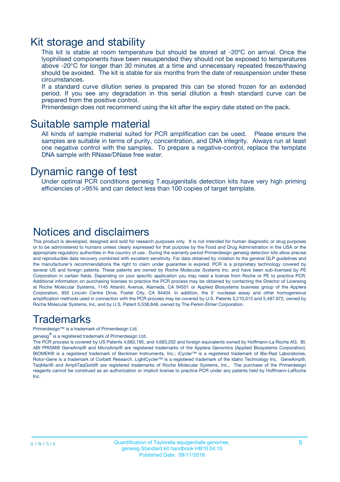### Kit storage and stability

This kit is stable at room temperature but should be stored at -20ºC on arrival. Once the lyophilised components have been resuspended they should not be exposed to temperatures above -20°C for longer than 30 minutes at a time and unnecessary repeated freeze/thawing should be avoided. The kit is stable for six months from the date of resuspension under these circumstances.

If a standard curve dilution series is prepared this can be stored frozen for an extended period. If you see any degradation in this serial dilution a fresh standard curve can be prepared from the positive control.

Primerdesign does not recommend using the kit after the expiry date stated on the pack.

### Suitable sample material

All kinds of sample material suited for PCR amplification can be used. Please ensure the samples are suitable in terms of purity, concentration, and DNA integrity. Always run at least one negative control with the samples. To prepare a negative-control, replace the template DNA sample with RNase/DNase free water.

### Dynamic range of test

Under optimal PCR conditions genesig T.equigenitalis detection kits have very high priming efficiencies of >95% and can detect less than 100 copies of target template.

### Notices and disclaimers

This product is developed, designed and sold for research purposes only. It is not intended for human diagnostic or drug purposes or to be administered to humans unless clearly expressed for that purpose by the Food and Drug Administration in the USA or the appropriate regulatory authorities in the country of use. During the warranty period Primerdesign genesig detection kits allow precise and reproducible data recovery combined with excellent sensitivity. For data obtained by violation to the general GLP guidelines and the manufacturer's recommendations the right to claim under guarantee is expired. PCR is a proprietary technology covered by several US and foreign patents. These patents are owned by Roche Molecular Systems Inc. and have been sub-licensed by PE Corporation in certain fields. Depending on your specific application you may need a license from Roche or PE to practice PCR. Additional information on purchasing licenses to practice the PCR process may be obtained by contacting the Director of Licensing at Roche Molecular Systems, 1145 Atlantic Avenue, Alameda, CA 94501 or Applied Biosystems business group of the Applera Corporation, 850 Lincoln Centre Drive, Foster City, CA 94404. In addition, the 5' nuclease assay and other homogeneous amplification methods used in connection with the PCR process may be covered by U.S. Patents 5,210,015 and 5,487,972, owned by Roche Molecular Systems, Inc, and by U.S. Patent 5,538,848, owned by The Perkin-Elmer Corporation.

### Trademarks

Primerdesign™ is a trademark of Primerdesign Ltd.

genesig $^\circledR$  is a registered trademark of Primerdesign Ltd.

The PCR process is covered by US Patents 4,683,195, and 4,683,202 and foreign equivalents owned by Hoffmann-La Roche AG. BI, ABI PRISM® GeneAmp® and MicroAmp® are registered trademarks of the Applera Genomics (Applied Biosystems Corporation). BIOMEK® is a registered trademark of Beckman Instruments, Inc.; iCycler™ is a registered trademark of Bio-Rad Laboratories, Rotor-Gene is a trademark of Corbett Research. LightCycler™ is a registered trademark of the Idaho Technology Inc. GeneAmp®, TaqMan® and AmpliTaqGold® are registered trademarks of Roche Molecular Systems, Inc., The purchase of the Primerdesign reagents cannot be construed as an authorization or implicit license to practice PCR under any patents held by Hoffmann-LaRoche Inc.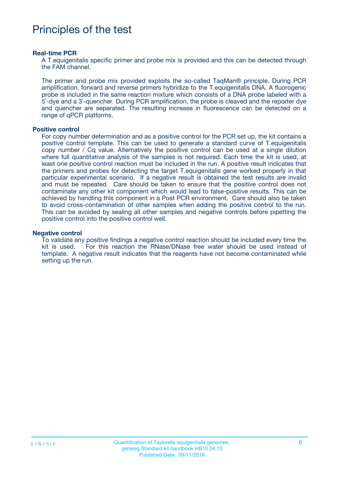## Principles of the test

#### **Real-time PCR**

A T.equigenitalis specific primer and probe mix is provided and this can be detected through the FAM channel.

The primer and probe mix provided exploits the so-called TaqMan® principle. During PCR amplification, forward and reverse primers hybridize to the T.equigenitalis DNA. A fluorogenic probe is included in the same reaction mixture which consists of a DNA probe labeled with a 5`-dye and a 3`-quencher. During PCR amplification, the probe is cleaved and the reporter dye and quencher are separated. The resulting increase in fluorescence can be detected on a range of qPCR platforms.

#### **Positive control**

For copy number determination and as a positive control for the PCR set up, the kit contains a positive control template. This can be used to generate a standard curve of T.equigenitalis copy number / Cq value. Alternatively the positive control can be used at a single dilution where full quantitative analysis of the samples is not required. Each time the kit is used, at least one positive control reaction must be included in the run. A positive result indicates that the primers and probes for detecting the target T.equigenitalis gene worked properly in that particular experimental scenario. If a negative result is obtained the test results are invalid and must be repeated. Care should be taken to ensure that the positive control does not contaminate any other kit component which would lead to false-positive results. This can be achieved by handling this component in a Post PCR environment. Care should also be taken to avoid cross-contamination of other samples when adding the positive control to the run. This can be avoided by sealing all other samples and negative controls before pipetting the positive control into the positive control well.

#### **Negative control**

To validate any positive findings a negative control reaction should be included every time the kit is used. For this reaction the RNase/DNase free water should be used instead of template. A negative result indicates that the reagents have not become contaminated while setting up the run.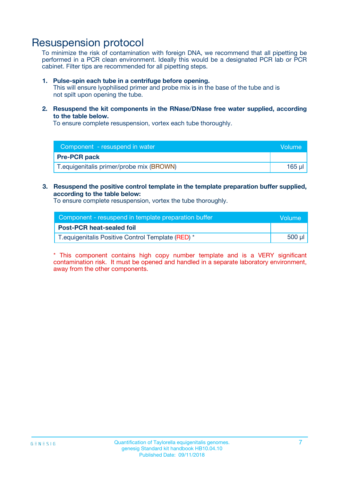## Resuspension protocol

To minimize the risk of contamination with foreign DNA, we recommend that all pipetting be performed in a PCR clean environment. Ideally this would be a designated PCR lab or PCR cabinet. Filter tips are recommended for all pipetting steps.

#### **1. Pulse-spin each tube in a centrifuge before opening.**

This will ensure lyophilised primer and probe mix is in the base of the tube and is not spilt upon opening the tube.

**2. Resuspend the kit components in the RNase/DNase free water supplied, according to the table below.**

To ensure complete resuspension, vortex each tube thoroughly.

| Component - resuspend in water            | Volume |
|-------------------------------------------|--------|
| <b>Pre-PCR pack</b>                       |        |
| T. equigenitalis primer/probe mix (BROWN) | 165 ul |

### **3. Resuspend the positive control template in the template preparation buffer supplied, according to the table below:**

To ensure complete resuspension, vortex the tube thoroughly.

| Component - resuspend in template preparation buffer | lVolume' |
|------------------------------------------------------|----------|
| <b>Post-PCR heat-sealed foil</b>                     |          |
| T. equigenitalis Positive Control Template (RED) *   | 500 µl   |

\* This component contains high copy number template and is a VERY significant contamination risk. It must be opened and handled in a separate laboratory environment, away from the other components.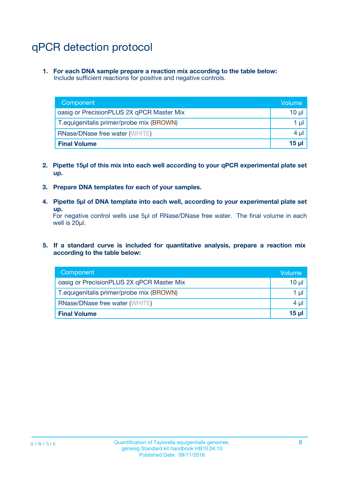## qPCR detection protocol

**1. For each DNA sample prepare a reaction mix according to the table below:** Include sufficient reactions for positive and negative controls.

| Component                                 | Volume   |
|-------------------------------------------|----------|
| oasig or PrecisionPLUS 2X qPCR Master Mix | 10 $\mu$ |
| T. equigenitalis primer/probe mix (BROWN) | 1 $\mu$  |
| <b>RNase/DNase free water (WHITE)</b>     | $4 \mu$  |
| <b>Final Volume</b>                       | $15$ µ   |

- **2. Pipette 15µl of this mix into each well according to your qPCR experimental plate set up.**
- **3. Prepare DNA templates for each of your samples.**
- **4. Pipette 5µl of DNA template into each well, according to your experimental plate set up.**

For negative control wells use 5µl of RNase/DNase free water. The final volume in each well is 20µl.

**5. If a standard curve is included for quantitative analysis, prepare a reaction mix according to the table below:**

| Component                                 | Volume          |
|-------------------------------------------|-----------------|
| oasig or PrecisionPLUS 2X qPCR Master Mix | 10 µl           |
| T. equigenitalis primer/probe mix (BROWN) | 1 µI            |
| <b>RNase/DNase free water (WHITE)</b>     | $4 \mu$         |
| <b>Final Volume</b>                       | 15 <sub>µ</sub> |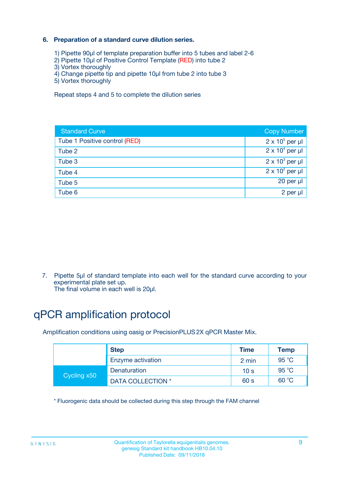### **6. Preparation of a standard curve dilution series.**

- 1) Pipette 90µl of template preparation buffer into 5 tubes and label 2-6
- 2) Pipette 10µl of Positive Control Template (RED) into tube 2
- 3) Vortex thoroughly
- 4) Change pipette tip and pipette 10µl from tube 2 into tube 3
- 5) Vortex thoroughly

Repeat steps 4 and 5 to complete the dilution series

| <b>Standard Curve</b>         | <b>Copy Number</b>     |
|-------------------------------|------------------------|
| Tube 1 Positive control (RED) | $2 \times 10^5$ per µl |
| Tube 2                        | $2 \times 10^4$ per µl |
| Tube 3                        | $2 \times 10^3$ per µl |
| Tube 4                        | $2 \times 10^2$ per µl |
| Tube 5                        | 20 per µl              |
| Tube 6                        | 2 per ul               |

7. Pipette 5µl of standard template into each well for the standard curve according to your experimental plate set up.

The final volume in each well is 20µl.

## qPCR amplification protocol

Amplification conditions using oasig or PrecisionPLUS2X qPCR Master Mix.

| <b>Step</b> |                   | <b>Time</b>     | Temp    |
|-------------|-------------------|-----------------|---------|
|             | Enzyme activation | 2 min           | 95 °C   |
| Cycling x50 | Denaturation      | 10 <sub>s</sub> | 95 $°C$ |
|             | DATA COLLECTION * | 60 s            | 60 °C   |

\* Fluorogenic data should be collected during this step through the FAM channel